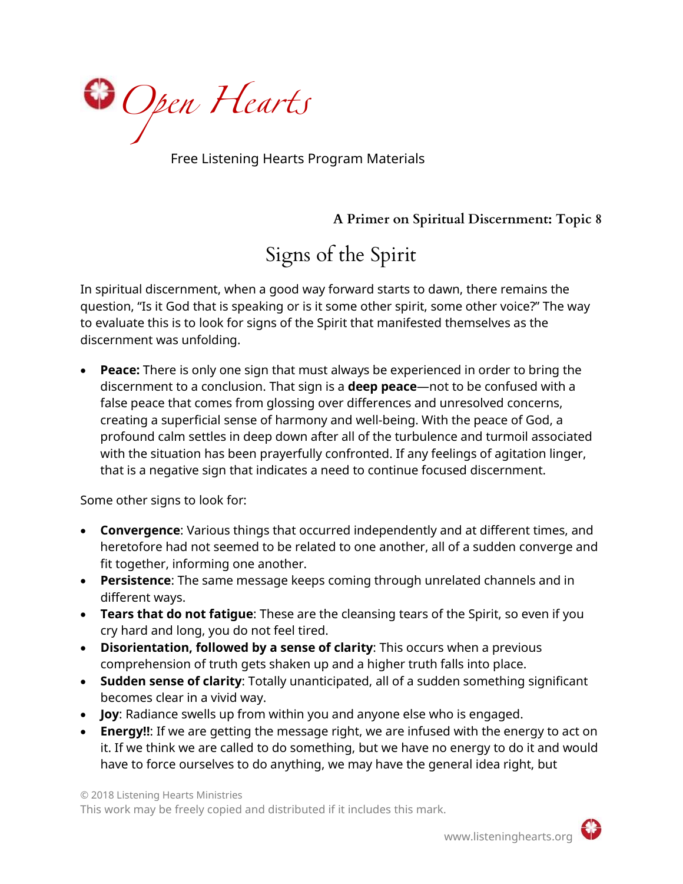

Free Listening Hearts Program Materials

**A Primer on Spiritual Discernment: Topic 8**

Signs of the Spirit

In spiritual discernment, when a good way forward starts to dawn, there remains the question, "Is it God that is speaking or is it some other spirit, some other voice?" The way to evaluate this is to look for signs of the Spirit that manifested themselves as the discernment was unfolding.

• **Peace:** There is only one sign that must always be experienced in order to bring the discernment to a conclusion. That sign is a **deep peace**—not to be confused with a false peace that comes from glossing over differences and unresolved concerns, creating a superficial sense of harmony and well-being. With the peace of God, a profound calm settles in deep down after all of the turbulence and turmoil associated with the situation has been prayerfully confronted. If any feelings of agitation linger, that is a negative sign that indicates a need to continue focused discernment.

Some other signs to look for:

- **Convergence**: Various things that occurred independently and at different times, and heretofore had not seemed to be related to one another, all of a sudden converge and fit together, informing one another.
- **Persistence**: The same message keeps coming through unrelated channels and in different ways.
- **Tears that do not fatigue**: These are the cleansing tears of the Spirit, so even if you cry hard and long, you do not feel tired.
- **Disorientation, followed by a sense of clarity**: This occurs when a previous comprehension of truth gets shaken up and a higher truth falls into place.
- **Sudden sense of clarity**: Totally unanticipated, all of a sudden something significant becomes clear in a vivid way.
- **Joy**: Radiance swells up from within you and anyone else who is engaged.
- **Energy!!**: If we are getting the message right, we are infused with the energy to act on it. If we think we are called to do something, but we have no energy to do it and would have to force ourselves to do anything, we may have the general idea right, but

© 2018 Listening Hearts Ministries This work may be freely copied and distributed if it includes this mark.